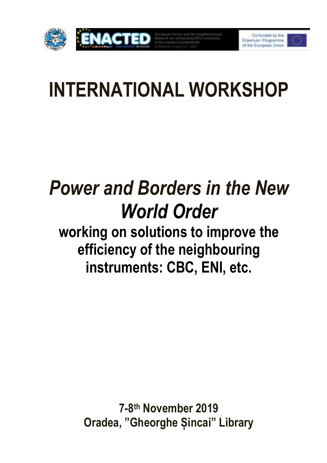

# **INTERNATIONAL WORKSHOP**

# *Power and Borders in the New World Order*

**working on solutions to improve the efficiency of the neighbouring instruments: CBC, ENI, etc.**

> **7-8 th November 2019 Oradea, "Gheorghe Șincai" Library**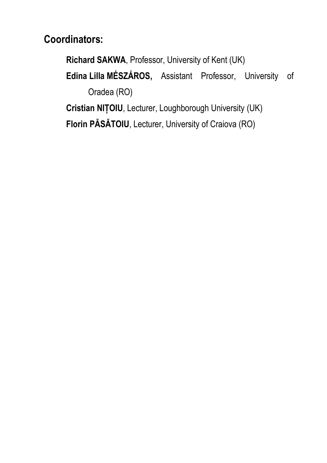**Coordinators:**

**Richard SAKWA**, Professor, University of Kent (UK)

**Edina Lilla MÉSZÁROS,** Assistant Professor, University of Oradea (RO)

**Cristian NIȚOIU**, Lecturer, Loughborough University (UK) **Florin PĂSĂTOIU**, Lecturer, University of Craiova (RO)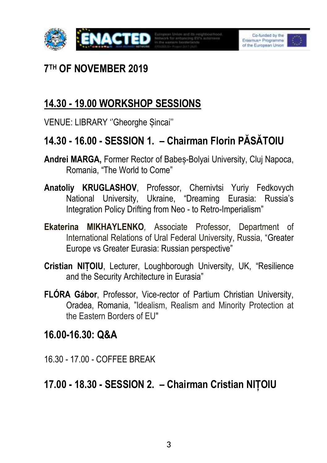



# **7 TH OF NOVEMBER 2019**

# **14.30 - 19.00 WORKSHOP SESSIONS**

VENUE: LIBRARY ''Gheorghe Șincai''

## **14.30 - 16.00 - SESSION 1. – Chairman Florin PĂSĂTOIU**

- **Andrei MARGA,** Former Rector of Babeș-Bolyai University, Cluj Napoca, Romania, "The World to Come"
- **Anatoliy KRUGLASHOV**, Professor, Chernivtsi Yuriy Fedkovych National University, Ukraine, "Dreaming Eurasia: Russia's Integration Policy Drifting from Neo - to Retro-Imperialism"
- **Ekaterina MIKHAYLENKO***,* Associate Professor, Department of International Relations of Ural Federal University, Russia, "Greater Europe vs Greater Eurasia: Russian perspective"
- **Cristian NIȚOIU**, Lecturer, Loughborough University, UK, "Resilience and the Security Architecture in Eurasia"
- **FLÓRA Gábor**, Professor, Vice-rector of Partium Christian University, Oradea, Romania, "Idealism, Realism and Minority Protection at the Eastern Borders of EU"

## **16.00-16.30: Q&A**

16.30 - 17.00 - COFFEE BREAK

# **17.00 - 18.30 - SESSION 2. – Chairman Cristian NIȚOIU**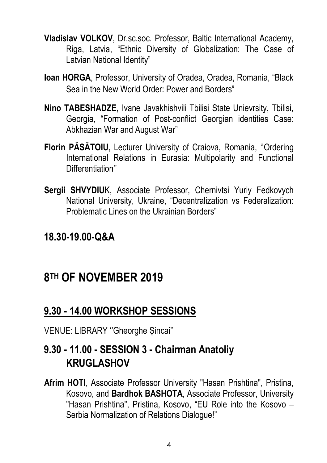- **Vladislav VOLKOV**, Dr.sc.soc. Professor, Baltic International Academy, Riga, Latvia, "Ethnic Diversity of Globalization: The Case of Latvian National Identity"
- **Ioan HORGA**, Professor, University of Oradea, Oradea, Romania, "Black Sea in the New World Order: Power and Borders"
- **Nino TABESHADZE,** Ivane Javakhishvili Tbilisi State Unievrsity, Tbilisi, Georgia, "Formation of Post-conflict Georgian identities Case: Abkhazian War and August War"
- **Florin PĂSĂTOIU**, Lecturer University of Craiova, Romania, ''Ordering International Relations in Eurasia: Multipolarity and Functional Differentiation''
- **Sergii SHVYDIU**K, Associate Professor, Chernivtsi Yuriy Fedkovych National University, Ukraine, "Decentralization vs Federalization: Problematic Lines on the Ukrainian Borders"

## **18.30-19.00-Q&A**

# **8 TH OF NOVEMBER 2019**

## **9.30 - 14.00 WORKSHOP SESSIONS**

VENUE: LIBRARY ''Gheorghe Șincai''

## **9.30 - 11.00 - SESSION 3 - Chairman Anatoliy KRUGLASHOV**

**Afrim HOTI**, Associate Professor University "Hasan Prishtina", Pristina, Kosovo, and **Bardhok BASHOTA**, Associate Professor, University "Hasan Prishtina", Pristina, Kosovo, "EU Role into the Kosovo – Serbia Normalization of Relations Dialogue!"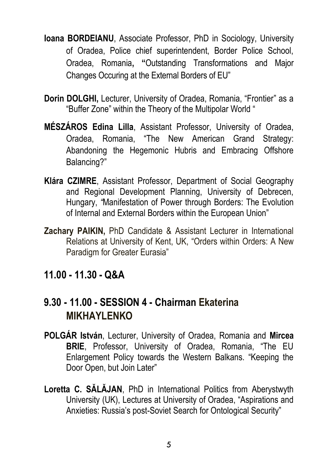- **Ioana BORDEIANU**, Associate Professor, PhD in Sociology, University of Oradea, Police chief superintendent, Border Police School, Oradea, Romania**, "**Outstanding Transformations and Major Changes Occuring at the External Borders of EU"
- **Dorin DOLGHI,** Lecturer, University of Oradea, Romania, "Frontier" as a "Buffer Zone" within the Theory of the Multipolar World "
- **MÉSZÁROS Edina Lilla**, Assistant Professor, University of Oradea, Oradea, Romania, "The New American Grand Strategy: Abandoning the Hegemonic Hubris and Embracing Offshore Balancing?"
- **Klára CZIMRE**, Assistant Professor, Department of Social Geography and Regional Development Planning, University of Debrecen, Hungary, *"*Manifestation of Power through Borders: The Evolution of Internal and External Borders within the European Union"
- **Zachary PAIKIN,** PhD Candidate & Assistant Lecturer in International Relations at University of Kent, UK, "Orders within Orders: A New Paradigm for Greater Eurasia"

#### **11.00 - 11.30 - Q&A**

## **9.30 - 11.00 - SESSION 4 - Chairman Ekaterina MIKHAYLENKO**

- **POLGÁR István**, Lecturer, University of Oradea, Romania and **Mircea BRIE**, Professor, University of Oradea, Romania, "The EU Enlargement Policy towards the Western Balkans. "Keeping the Door Open, but Join Later"
- **Loretta C. SĂLĂJAN**, PhD in International Politics from Aberystwyth University (UK), Lectures at University of Oradea, "Aspirations and Anxieties: Russia's post-Soviet Search for Ontological Security"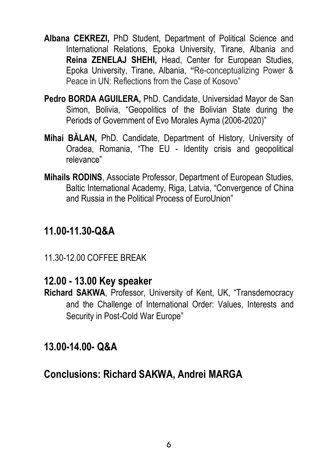- **Albana CEKREZI,** PhD Student, Department of Political Science and International Relations, Epoka University, Tirane, Albania and **Reina ZENELAJ SHEHI,** Head, Center for European Studies, Epoka University, Tirane, Albania, **"**Re-conceptualizing Power & Peace in UN: Reflections from the Case of Kosovo"
- **Pedro BORDA AGUILERA,** PhD. Candidate, Universidad Mayor de San Simon, Bolivia, "Geopolitics of the Bolivian State during the Periods of Government of Evo Morales Ayma (2006-2020)"
- **Mihai BĂLAN,** PhD. Candidate, Department of History, University of Oradea, Romania, "The EU - Identity crisis and geopolitical relevance"
- **Mihails RODINS**, Associate Professor, Department of European Studies, Baltic International Academy, Riga, Latvia, "Convergence of China and Russia in the Political Process of EuroUnion"

## **11.00-11.30-Q&A**

11.30-12.00 COFFEE BREAK

### **12.00 - 13.00 Key speaker**

**Richard SAKWA**, Professor, University of Kent, UK, "Transdemocracy and the Challenge of International Order: Values, Interests and Security in Post-Cold War Europe"

## **13.00-14.00- Q&A**

## **Conclusions: Richard SAKWA, Andrei MARGA**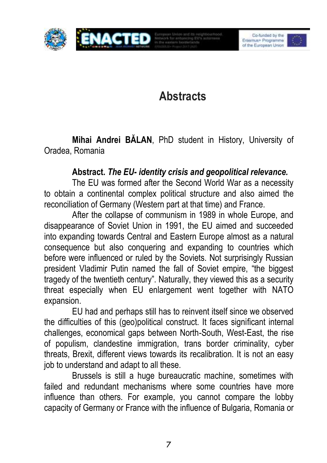

# **Abstracts**

**Mihai Andrei BĂLAN**, PhD student in History, University of Oradea, Romania

#### **Abstract.** *The EU- identity crisis and geopolitical relevance.*

The EU was formed after the Second World War as a necessity to obtain a continental complex political structure and also aimed the reconciliation of Germany (Western part at that time) and France.

After the collapse of communism in 1989 in whole Europe, and disappearance of Soviet Union in 1991, the EU aimed and succeeded into expanding towards Central and Eastern Europe almost as a natural consequence but also conquering and expanding to countries which before were influenced or ruled by the Soviets. Not surprisingly Russian president Vladimir Putin named the fall of Soviet empire, "the biggest tragedy of the twentieth century". Naturally, they viewed this as a security threat especially when EU enlargement went together with NATO expansion.

EU had and perhaps still has to reinvent itself since we observed the difficulties of this (geo)political construct. It faces significant internal challenges, economical gaps between North-South, West-East, the rise of populism, clandestine immigration, trans border criminality, cyber threats, Brexit, different views towards its recalibration. It is not an easy job to understand and adapt to all these.

Brussels is still a huge bureaucratic machine, sometimes with failed and redundant mechanisms where some countries have more influence than others. For example, you cannot compare the lobby capacity of Germany or France with the influence of Bulgaria, Romania or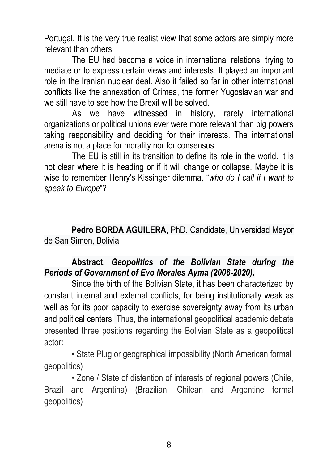Portugal. It is the very true realist view that some actors are simply more relevant than others.

The EU had become a voice in international relations, trying to mediate or to express certain views and interests. It played an important role in the Iranian nuclear deal. Also it failed so far in other international conflicts like the annexation of Crimea, the former Yugoslavian war and we still have to see how the Brexit will be solved.

As we have witnessed in history, rarely international organizations or political unions ever were more relevant than big powers taking responsibility and deciding for their interests. The international arena is not a place for morality nor for consensus.

The EU is still in its transition to define its role in the world. It is not clear where it is heading or if it will change or collapse. Maybe it is wise to remember Henry's Kissinger dilemma, "*who do I call if I want to speak to Europe*"?

**Pedro BORDA AGUILERA**, PhD. Candidate, Universidad Mayor de San Simon, Bolivia

#### **Abstract**. *Geopolitics of the Bolivian State during the Periods of Government of Evo Morales Ayma (2006-2020).*

Since the birth of the Bolivian State, it has been characterized by constant internal and external conflicts, for being institutionally weak as well as for its poor capacity to exercise sovereignty away from its urban and political centers. Thus, the international geopolitical academic debate presented three positions regarding the Bolivian State as a geopolitical actor:

• State Plug or geographical impossibility (North American formal geopolitics)

• Zone / State of distention of interests of regional powers (Chile, Brazil and Argentina) (Brazilian, Chilean and Argentine formal geopolitics)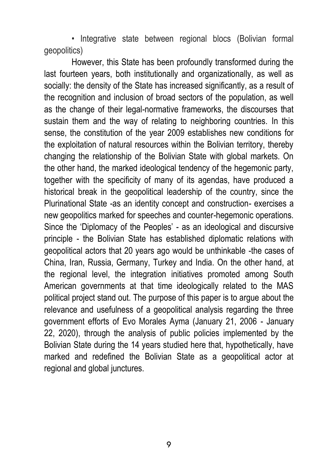• Integrative state between regional blocs (Bolivian formal geopolitics)

However, this State has been profoundly transformed during the last fourteen years, both institutionally and organizationally, as well as socially: the density of the State has increased significantly, as a result of the recognition and inclusion of broad sectors of the population, as well as the change of their legal-normative frameworks, the discourses that sustain them and the way of relating to neighboring countries. In this sense, the constitution of the year 2009 establishes new conditions for the exploitation of natural resources within the Bolivian territory, thereby changing the relationship of the Bolivian State with global markets. On the other hand, the marked ideological tendency of the hegemonic party, together with the specificity of many of its agendas, have produced a historical break in the geopolitical leadership of the country, since the Plurinational State -as an identity concept and construction- exercises a new geopolitics marked for speeches and counter-hegemonic operations. Since the 'Diplomacy of the Peoples' - as an ideological and discursive principle - the Bolivian State has established diplomatic relations with geopolitical actors that 20 years ago would be unthinkable -the cases of China, Iran, Russia, Germany, Turkey and India. On the other hand, at the regional level, the integration initiatives promoted among South American governments at that time ideologically related to the MAS political project stand out. The purpose of this paper is to argue about the relevance and usefulness of a geopolitical analysis regarding the three government efforts of Evo Morales Ayma (January 21, 2006 - January 22, 2020), through the analysis of public policies implemented by the Bolivian State during the 14 years studied here that, hypothetically, have marked and redefined the Bolivian State as a geopolitical actor at regional and global junctures.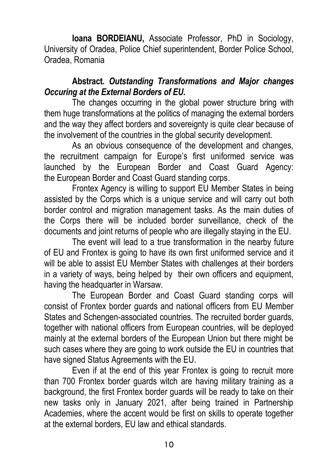**Ioana BORDEIANU,** Associate Professor, PhD in Sociology, University of Oradea, Police Chief superintendent, Border Police School, Oradea, Romania

#### **Abstract.** *Outstanding Transformations and Major changes Occuring at the External Borders of EU***.**

The changes occurring in the global power structure bring with them huge transformations at the politics of managing the external borders and the way they affect borders and sovereignty is quite clear because of the involvement of the countries in the global security development.

As an obvious consequence of the development and changes, the recruitment campaign for Europe's first uniformed service was launched by the European Border and Coast Guard Agency: the European Border and Coast Guard standing corps.

Frontex Agency is willing to support EU Member States in being assisted by the Corps which is a unique service and will carry out both border control and migration management tasks. As the main duties of the Corps there will be included border surveillance, check of the documents and joint returns of people who are illegally staying in the EU.

The event will lead to a true transformation in the nearby future of EU and Frontex is going to have its own first uniformed service and it will be able to assist EU Member States with challenges at their borders in a variety of ways, being helped by their own officers and equipment, having the headquarter in Warsaw.

The European Border and Coast Guard standing corps will consist of Frontex border guards and national officers from EU Member States and Schengen-associated countries. The recruited border guards, together with national officers from European countries, will be deployed mainly at the external borders of the European Union but there might be such cases where they are going to work outside the EU in countries that have signed Status Agreements with the EU.

Even if at the end of this year Frontex is going to recruit more than 700 Frontex border guards witch are having military training as a background, the first Frontex border guards will be ready to take on their new tasks only in January 2021, after being trained in Partnership Academies, where the accent would be first on skills to operate together at the external borders, EU law and ethical standards.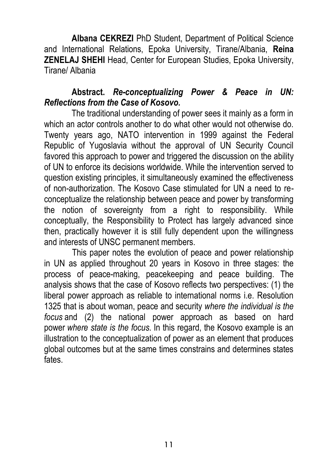**Albana CEKREZI** PhD Student, Department of Political Science and International Relations, Epoka University, Tirane/Albania, **Reina ZENELAJ SHEHI** Head, Center for European Studies, Epoka University, Tirane/ Albania

#### **Abstract.** *Re-conceptualizing Power & Peace in UN: Reflections from the Case of Kosovo.*

The traditional understanding of power sees it mainly as a form in which an actor controls another to do what other would not otherwise do. Twenty years ago, NATO intervention in 1999 against the Federal Republic of Yugoslavia without the approval of UN Security Council favored this approach to power and triggered the discussion on the ability of UN to enforce its decisions worldwide. While the intervention served to question existing principles, it simultaneously examined the effectiveness of non-authorization. The Kosovo Case stimulated for UN a need to reconceptualize the relationship between peace and power by transforming the notion of sovereignty from a right to responsibility. While conceptually, the Responsibility to Protect has largely advanced since then, practically however it is still fully dependent upon the willingness and interests of UNSC permanent members.

This paper notes the evolution of peace and power relationship in UN as applied throughout 20 years in Kosovo in three stages: the process of peace-making, peacekeeping and peace building. The analysis shows that the case of Kosovo reflects two perspectives: (1) the liberal power approach as reliable to international norms i.e. Resolution 1325 that is about woman, peace and security *where the individual is the focus* and (2) the national power approach as based on hard power *where state is the focus.* In this regard, the Kosovo example is an illustration to the conceptualization of power as an element that produces global outcomes but at the same times constrains and determines states fates.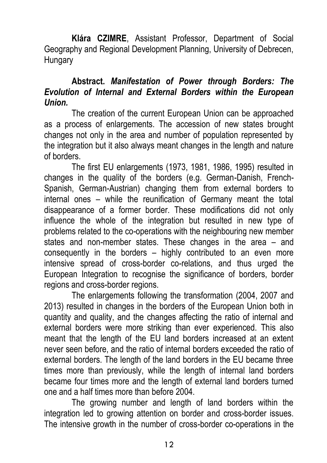**Klára CZIMRE**, Assistant Professor, Department of Social Geography and Regional Development Planning, University of Debrecen, **Hungary** 

#### **Abstract.** *Manifestation of Power through Borders: The Evolution of Internal and External Borders within the European Union.*

The creation of the current European Union can be approached as a process of enlargements. The accession of new states brought changes not only in the area and number of population represented by the integration but it also always meant changes in the length and nature of borders.

The first EU enlargements (1973, 1981, 1986, 1995) resulted in changes in the quality of the borders (e.g. German-Danish, French-Spanish, German-Austrian) changing them from external borders to internal ones – while the reunification of Germany meant the total disappearance of a former border. These modifications did not only influence the whole of the integration but resulted in new type of problems related to the co-operations with the neighbouring new member states and non-member states. These changes in the area – and consequently in the borders – highly contributed to an even more intensive spread of cross-border co-relations, and thus urged the European Integration to recognise the significance of borders, border regions and cross-border regions.

The enlargements following the transformation (2004, 2007 and 2013) resulted in changes in the borders of the European Union both in quantity and quality, and the changes affecting the ratio of internal and external borders were more striking than ever experienced. This also meant that the length of the EU land borders increased at an extent never seen before, and the ratio of internal borders exceeded the ratio of external borders. The length of the land borders in the EU became three times more than previously, while the length of internal land borders became four times more and the length of external land borders turned one and a half times more than before 2004.

The growing number and length of land borders within the integration led to growing attention on border and cross-border issues. The intensive growth in the number of cross-border co-operations in the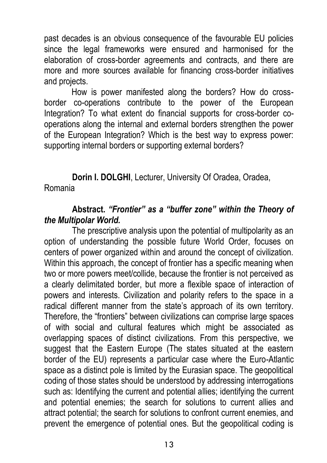past decades is an obvious consequence of the favourable EU policies since the legal frameworks were ensured and harmonised for the elaboration of cross-border agreements and contracts, and there are more and more sources available for financing cross-border initiatives and projects.

How is power manifested along the borders? How do crossborder co-operations contribute to the power of the European Integration? To what extent do financial supports for cross-border cooperations along the internal and external borders strengthen the power of the European Integration? Which is the best way to express power: supporting internal borders or supporting external borders?

**Dorin I. DOLGHI**, Lecturer, University Of Oradea, Oradea, Romania

#### **Abstract.** *"Frontier" as a "buffer zone" within the Theory of the Multipolar World.*

The prescriptive analysis upon the potential of multipolarity as an option of understanding the possible future World Order, focuses on centers of power organized within and around the concept of civilization. Within this approach, the concept of frontier has a specific meaning when two or more powers meet/collide, because the frontier is not perceived as a clearly delimitated border, but more a flexible space of interaction of powers and interests. Civilization and polarity refers to the space in a radical different manner from the state's approach of its own territory. Therefore, the "frontiers" between civilizations can comprise large spaces of with social and cultural features which might be associated as overlapping spaces of distinct civilizations. From this perspective, we suggest that the Eastern Europe (The states situated at the eastern border of the EU) represents a particular case where the Euro-Atlantic space as a distinct pole is limited by the Eurasian space. The geopolitical coding of those states should be understood by addressing interrogations such as: Identifying the current and potential allies; identifying the current and potential enemies; the search for solutions to current allies and attract potential; the search for solutions to confront current enemies, and prevent the emergence of potential ones. But the geopolitical coding is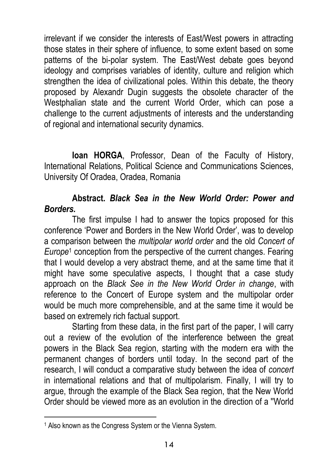irrelevant if we consider the interests of East/West powers in attracting those states in their sphere of influence, to some extent based on some patterns of the bi-polar system. The East/West debate goes beyond ideology and comprises variables of identity, culture and religion which strengthen the idea of civilizational poles. Within this debate, the theory proposed by Alexandr Dugin suggests the obsolete character of the Westphalian state and the current World Order, which can pose a challenge to the current adjustments of interests and the understanding of regional and international security dynamics.

**Ioan HORGA**, Professor, Dean of the Faculty of History, International Relations, Political Science and Communications Sciences, University Of Oradea, Oradea, Romania

#### **Abstract.** *Black Sea in the New World Order: Power and Borders.*

The first impulse I had to answer the topics proposed for this conference 'Power and Borders in the New World Order', was to develop a comparison between the *multipolar world order* and the old *Concert of Europe*<sup>1</sup> conception from the perspective of the current changes. Fearing that I would develop a very abstract theme, and at the same time that it might have some speculative aspects, I thought that a case study approach on the *Black See in the New World Order in change*, with reference to the Concert of Europe system and the multipolar order would be much more comprehensible, and at the same time it would be based on extremely rich factual support.

Starting from these data, in the first part of the paper, I will carry out a review of the evolution of the interference between the great powers in the Black Sea region, starting with the modern era with the permanent changes of borders until today. In the second part of the research, I will conduct a comparative study between the idea of *concert*  in international relations and that of multipolarism. Finally, I will try to argue, through the example of the Black Sea region, that the New World Order should be viewed more as an evolution in the direction of a ''World

 $\overline{a}$ 

<sup>1</sup> Also known as the Congress System or the Vienna System.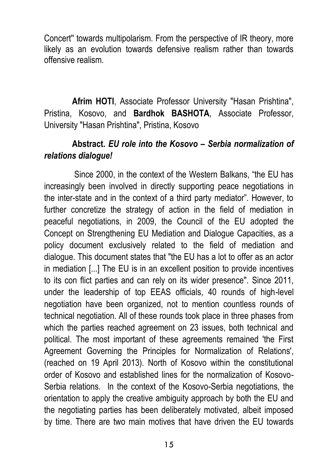Concert'' towards multipolarism. From the perspective of IR theory, more likely as an evolution towards defensive realism rather than towards offensive realism.

**Afrim HOTI**, Associate Professor University "Hasan Prishtina", Pristina, Kosovo, and **Bardhok BASHOTA**, Associate Professor, University "Hasan Prishtina", Pristina, Kosovo

#### **Abstract.** *EU role into the Kosovo – Serbia normalization of relations dialogue!*

Since 2000, in the context of the Western Balkans, "the EU has increasingly been involved in directly supporting peace negotiations in the inter-state and in the context of a third party mediator". However, to further concretize the strategy of action in the field of mediation in peaceful negotiations, in 2009, the Council of the EU adopted the Concept on Strengthening EU Mediation and Dialogue Capacities, as a policy document exclusively related to the field of mediation and dialogue. This document states that "the EU has a lot to offer as an actor in mediation [...] The EU is in an excellent position to provide incentives to its con flict parties and can rely on its wider presence". Since 2011, under the leadership of top EEAS officials, 40 rounds of high-level negotiation have been organized, not to mention countless rounds of technical negotiation. All of these rounds took place in three phases from which the parties reached agreement on 23 issues, both technical and political. The most important of these agreements remained 'the First Agreement Governing the Principles for Normalization of Relations', (reached on 19 April 2013). North of Kosovo within the constitutional order of Kosovo and established lines for the normalization of Kosovo-Serbia relations. In the context of the Kosovo-Serbia negotiations, the orientation to apply the creative ambiguity approach by both the EU and the negotiating parties has been deliberately motivated, albeit imposed by time. There are two main motives that have driven the EU towards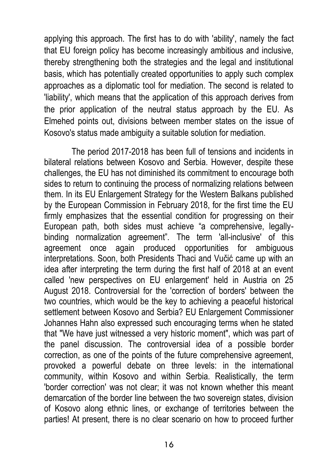applying this approach. The first has to do with 'ability', namely the fact that EU foreign policy has become increasingly ambitious and inclusive, thereby strengthening both the strategies and the legal and institutional basis, which has potentially created opportunities to apply such complex approaches as a diplomatic tool for mediation. The second is related to 'liability', which means that the application of this approach derives from the prior application of the neutral status approach by the EU. As Elmehed points out, divisions between member states on the issue of Kosovo's status made ambiguity a suitable solution for mediation.

The period 2017-2018 has been full of tensions and incidents in bilateral relations between Kosovo and Serbia. However, despite these challenges, the EU has not diminished its commitment to encourage both sides to return to continuing the process of normalizing relations between them. In its EU Enlargement Strategy for the Western Balkans published by the European Commission in February 2018, for the first time the EU firmly emphasizes that the essential condition for progressing on their European path, both sides must achieve "a comprehensive, legallybinding normalization agreement". The term 'all-inclusive' of this agreement once again produced opportunities for ambiguous interpretations. Soon, both Presidents Thaci and Vučić came up with an idea after interpreting the term during the first half of 2018 at an event called 'new perspectives on EU enlargement' held in Austria on 25 August 2018. Controversial for the 'correction of borders' between the two countries, which would be the key to achieving a peaceful historical settlement between Kosovo and Serbia? EU Enlargement Commissioner Johannes Hahn also expressed such encouraging terms when he stated that "We have just witnessed a very historic moment", which was part of the panel discussion. The controversial idea of a possible border correction, as one of the points of the future comprehensive agreement, provoked a powerful debate on three levels: in the international community, within Kosovo and within Serbia. Realistically, the term 'border correction' was not clear; it was not known whether this meant demarcation of the border line between the two sovereign states, division of Kosovo along ethnic lines, or exchange of territories between the parties! At present, there is no clear scenario on how to proceed further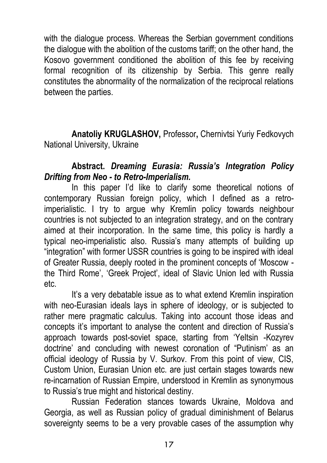with the dialogue process. Whereas the Serbian government conditions the dialogue with the abolition of the customs tariff; on the other hand, the Kosovo government conditioned the abolition of this fee by receiving formal recognition of its citizenship by Serbia. This genre really constitutes the abnormality of the normalization of the reciprocal relations between the parties.

**Anatoliy KRUGLASHOV,** Professor**,** Chernivtsi Yuriy Fedkovych National University, Ukraine

#### **Abstract.** *Dreaming Eurasia: Russia's Integration Policy Drifting from Neo - to Retro-Imperialism.*

In this paper I'd like to clarify some theoretical notions of contemporary Russian foreign policy, which I defined as a retroimperialistic. I try to argue why Kremlin policy towards neighbour countries is not subjected to an integration strategy, and on the contrary aimed at their incorporation. In the same time, this policy is hardly a typical neo-imperialistic also. Russia's many attempts of building up "integration" with former USSR countries is going to be inspired with ideal of Greater Russia, deeply rooted in the prominent concepts of 'Moscow the Third Rome', 'Greek Project', ideal of Slavic Union led with Russia etc.

It's a very debatable issue as to what extend Kremlin inspiration with neo-Eurasian ideals lays in sphere of ideology, or is subjected to rather mere pragmatic calculus. Taking into account those ideas and concepts it's important to analyse the content and direction of Russia's approach towards post-soviet space, starting from 'Yeltsin -Kozyrev doctrine' and concluding with newest coronation of "Putinism' as an official ideology of Russia by V. Surkov. From this point of view, CIS, Custom Union, Eurasian Union etc. are just certain stages towards new re-incarnation of Russian Empire, understood in Kremlin as synonymous to Russia's true might and historical destiny.

Russian Federation stances towards Ukraine, Moldova and Georgia, as well as Russian policy of gradual diminishment of Belarus sovereignty seems to be a very provable cases of the assumption why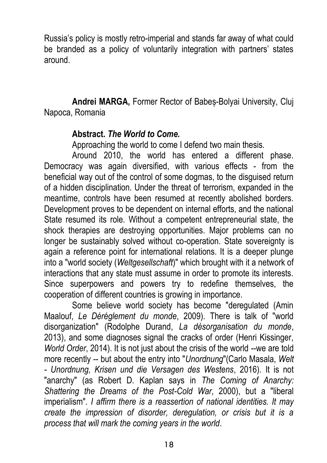Russia's policy is mostly retro-imperial and stands far away of what could be branded as a policy of voluntarily integration with partners' states around.

**Andrei MARGA,** Former Rector of Babeș-Bolyai University, Cluj Napoca, Romania

#### **Abstract.** *The World to Come.*

Approaching the world to come I defend two main thesis.

Around 2010, the world has entered a different phase. Democracy was again diversified, with various effects - from the beneficial way out of the control of some dogmas, to the disguised return of a hidden disciplination. Under the threat of terrorism, expanded in the meantime, controls have been resumed at recently abolished borders. Development proves to be dependent on internal efforts, and the national State resumed its role. Without a competent entrepreneurial state, the shock therapies are destroying opportunities. Major problems can no longer be sustainably solved without co-operation. State sovereignty is again a reference point for international relations. It is a deeper plunge into a "world society (*Weltgesellschaft*)" which brought with it a network of interactions that any state must assume in order to promote its interests. Since superpowers and powers try to redefine themselves, the cooperation of different countries is growing in importance.

Some believe world society has become "deregulated (Amin Maalouf, *Le Déréglement du monde*, 2009). There is talk of "world disorganization" (Rodolphe Durand, *La désorganisation du monde*, 2013), and some diagnoses signal the cracks of order (Henri Kissinger, *World Order*, 2014). It is not just about the crisis of the world --we are told more recently -- but about the entry into "*Unordnung*"(Carlo Masala, *Welt - Unordnung, Krisen und die Versagen des Westens*, 2016). It is not "anarchy" (as Robert D. Kaplan says in *The Coming of Anarchy: Shattering the Dreams of the Post-Cold War*, 2000), but a "liberal imperialism". *I affirm there is a reassertion of national identities. It may create the impression of disorder, deregulation, or crisis but it is a process that will mark the coming years in the world*.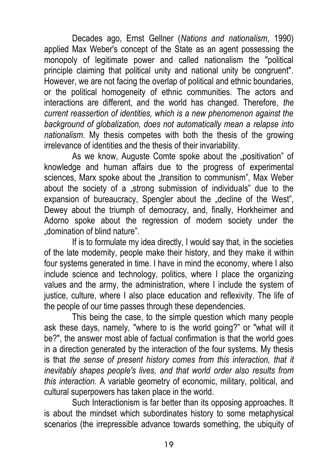Decades ago, Ernst Gellner (*Nations and nationalism*, 1990) applied Max Weber's concept of the State as an agent possessing the monopoly of legitimate power and called nationalism the "political principle claiming that political unity and national unity be congruent". However, we are not facing the overlap of political and ethnic boundaries, or the political homogeneity of ethnic communities. The actors and interactions are different, and the world has changed. Therefore*, the current reassertion of identities, which is a new phenomenon against the background of globalization, does not automatically mean a relapse into nationalism*. My thesis competes with both the thesis of the growing irrelevance of identities and the thesis of their invariability.

As we know, Auguste Comte spoke about the "positivation" of knowledge and human affairs due to the progress of experimental sciences, Marx spoke about the "transition to communism", Max Weber about the society of a "strong submission of individuals" due to the expansion of bureaucracy, Spengler about the "decline of the West", Dewey about the triumph of democracy, and, finally, Horkheimer and Adorno spoke about the regression of modern society under the "domination of blind nature".

If is to formulate my idea directly, I would say that, in the societies of the late modernity, people make their history, and they make it within four systems generated in time. I have in mind the economy, where I also include science and technology, politics, where I place the organizing values and the army, the administration, where I include the system of justice, culture, where I also place education and reflexivity. The life of the people of our time passes through these dependencies.

This being the case, to the simple question which many people ask these days, namely, "where to is the world going?" or "what will it be?", the answer most able of factual confirmation is that the world goes in a direction generated by the interaction of the four systems. My thesis is that *the sense of present history comes from this interaction, that it inevitably shapes people's lives, and that world order also results from this interaction.* A variable geometry of economic, military, political, and cultural superpowers has taken place in the world.

Such Interactionism is far better than its opposing approaches. It is about the mindset which subordinates history to some metaphysical scenarios (the irrepressible advance towards something, the ubiquity of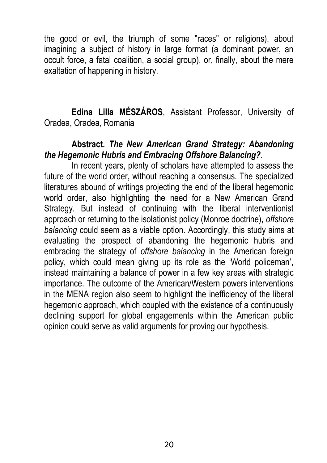the good or evil, the triumph of some "races" or religions), about imagining a subject of history in large format (a dominant power, an occult force, a fatal coalition, a social group), or, finally, about the mere exaltation of happening in history.

**Edina Lilla MÉSZÁROS**, Assistant Professor, University of Oradea, Oradea, Romania

#### **Abstract.** *The New American Grand Strategy: Abandoning the Hegemonic Hubris and Embracing Offshore Balancing?*.

In recent years, plenty of scholars have attempted to assess the future of the world order, without reaching a consensus. The specialized literatures abound of writings projecting the end of the liberal hegemonic world order, also highlighting the need for a New American Grand Strategy. But instead of continuing with the liberal interventionist approach or returning to the isolationist policy (Monroe doctrine), *offshore balancing* could seem as a viable option. Accordingly, this study aims at evaluating the prospect of abandoning the hegemonic hubris and embracing the strategy of *offshore balancing* in the American foreign policy, which could mean giving up its role as the 'World policeman', instead maintaining a balance of power in a few key areas with strategic importance. The outcome of the American/Western powers interventions in the MENA region also seem to highlight the inefficiency of the liberal hegemonic approach, which coupled with the existence of a continuously declining support for global engagements within the American public opinion could serve as valid arguments for proving our hypothesis.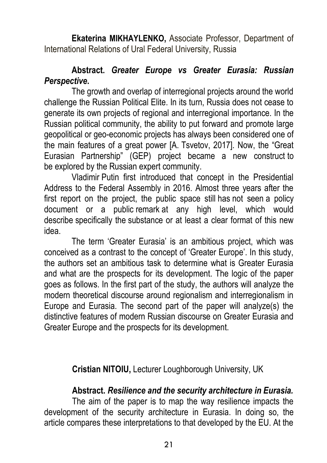**Ekaterina MIKHAYLENKO,** Associate Professor, Department of International Relations of Ural Federal University, Russia

#### **Abstract.** *Greater Europe vs Greater Eurasia: Russian Perspective***.**

The growth and overlap of interregional projects around the world challenge the Russian Political Elite. In its turn, Russia does not cease to generate its own projects of regional and interregional importance. In the Russian political community, the ability to put forward and promote large geopolitical or geo-economic projects has always been considered one of the main features of a great power [A. Tsvetov, 2017]. Now, the "Great Eurasian Partnership" (GEP) project became a new construct to be explored by the Russian expert community.

Vladimir Putin first introduced that concept in the Presidential Address to the Federal Assembly in 2016. Almost three years after the first report on the project, the public space still has not seen a policy document or a public remark at any high level, which would describe specifically the substance or at least a clear format of this new idea.

The term 'Greater Eurasia' is an ambitious project, which was conceived as a contrast to the concept of 'Greater Europe'. In this study, the authors set an ambitious task to determine what is Greater Eurasia and what are the prospects for its development. The logic of the paper goes as follows. In the first part of the study, the authors will analyze the modern theoretical discourse around regionalism and interregionalism in Europe and Eurasia. The second part of the paper will analyze(s) the distinctive features of modern Russian discourse on Greater Eurasia and Greater Europe and the prospects for its development.

**Cristian NITOIU,** Lecturer Loughborough University, UK

#### **Abstract.** *Resilience and the security architecture in Eurasia.*

The aim of the paper is to map the way resilience impacts the development of the security architecture in Eurasia. In doing so, the article compares these interpretations to that developed by the EU. At the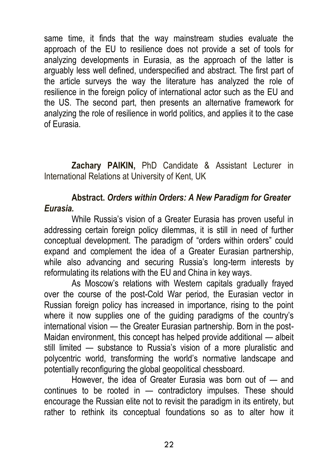same time, it finds that the way mainstream studies evaluate the approach of the EU to resilience does not provide a set of tools for analyzing developments in Eurasia, as the approach of the latter is arguably less well defined, underspecified and abstract. The first part of the article surveys the way the literature has analyzed the role of resilience in the foreign policy of international actor such as the EU and the US. The second part, then presents an alternative framework for analyzing the role of resilience in world politics, and applies it to the case of Eurasia.

**Zachary PAIKIN,** PhD Candidate & Assistant Lecturer in International Relations at University of Kent, UK

#### **Abstract.** *Orders within Orders: A New Paradigm for Greater Eurasia.*

While Russia's vision of a Greater Eurasia has proven useful in addressing certain foreign policy dilemmas, it is still in need of further conceptual development. The paradigm of "orders within orders" could expand and complement the idea of a Greater Eurasian partnership, while also advancing and securing Russia's long-term interests by reformulating its relations with the EU and China in key ways.

As Moscow's relations with Western capitals gradually frayed over the course of the post-Cold War period, the Eurasian vector in Russian foreign policy has increased in importance, rising to the point where it now supplies one of the guiding paradigms of the country's international vision — the Greater Eurasian partnership. Born in the post-Maidan environment, this concept has helped provide additional — albeit still limited — substance to Russia's vision of a more pluralistic and polycentric world, transforming the world's normative landscape and potentially reconfiguring the global geopolitical chessboard.

However, the idea of Greater Eurasia was born out of — and continues to be rooted in — contradictory impulses. These should encourage the Russian elite not to revisit the paradigm in its entirety, but rather to rethink its conceptual foundations so as to alter how it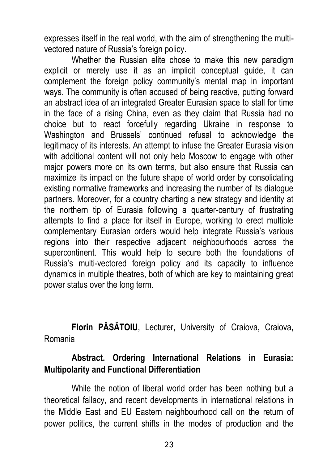expresses itself in the real world, with the aim of strengthening the multivectored nature of Russia's foreign policy.

Whether the Russian elite chose to make this new paradigm explicit or merely use it as an implicit conceptual guide, it can complement the foreign policy community's mental map in important ways. The community is often accused of being reactive, putting forward an abstract idea of an integrated Greater Eurasian space to stall for time in the face of a rising China, even as they claim that Russia had no choice but to react forcefully regarding Ukraine in response to Washington and Brussels' continued refusal to acknowledge the legitimacy of its interests. An attempt to infuse the Greater Eurasia vision with additional content will not only help Moscow to engage with other major powers more on its own terms, but also ensure that Russia can maximize its impact on the future shape of world order by consolidating existing normative frameworks and increasing the number of its dialogue partners. Moreover, for a country charting a new strategy and identity at the northern tip of Eurasia following a quarter-century of frustrating attempts to find a place for itself in Europe, working to erect multiple complementary Eurasian orders would help integrate Russia's various regions into their respective adjacent neighbourhoods across the supercontinent. This would help to secure both the foundations of Russia's multi-vectored foreign policy and its capacity to influence dynamics in multiple theatres, both of which are key to maintaining great power status over the long term.

**Florin PĂSĂTOIU**, Lecturer, University of Craiova, Craiova, Romania

#### **Abstract. Ordering International Relations in Eurasia: Multipolarity and Functional Differentiation**

While the notion of liberal world order has been nothing but a theoretical fallacy, and recent developments in international relations in the Middle East and EU Eastern neighbourhood call on the return of power politics, the current shifts in the modes of production and the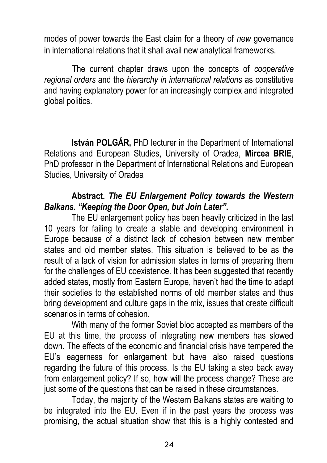modes of power towards the East claim for a theory of *new* governance in international relations that it shall avail new analytical frameworks.

The current chapter draws upon the concepts of *cooperative regional orders* and the *hierarchy in international relations* as constitutive and having explanatory power for an increasingly complex and integrated global politics.

**István POLGÁR,** PhD lecturer in the Department of International Relations and European Studies, University of Oradea, **Mircea BRIE**, PhD professor in the Department of International Relations and European Studies, University of Oradea

#### **Abstract.** *The EU Enlargement Policy towards the Western Balkans. "Keeping the Door Open, but Join Later"***.**

The EU enlargement policy has been heavily criticized in the last 10 years for failing to create a stable and developing environment in Europe because of a distinct lack of cohesion between new member states and old member states. This situation is believed to be as the result of a lack of vision for admission states in terms of preparing them for the challenges of EU coexistence. It has been suggested that recently added states, mostly from Eastern Europe, haven't had the time to adapt their societies to the established norms of old member states and thus bring development and culture gaps in the mix, issues that create difficult scenarios in terms of cohesion.

With many of the former Soviet bloc accepted as members of the EU at this time, the process of integrating new members has slowed down. The effects of the economic and financial crisis have tempered the EU's eagerness for enlargement but have also raised questions regarding the future of this process. Is the EU taking a step back away from enlargement policy? If so, how will the process change? These are just some of the questions that can be raised in these circumstances.

Today, the majority of the Western Balkans states are waiting to be integrated into the EU. Even if in the past years the process was promising, the actual situation show that this is a highly contested and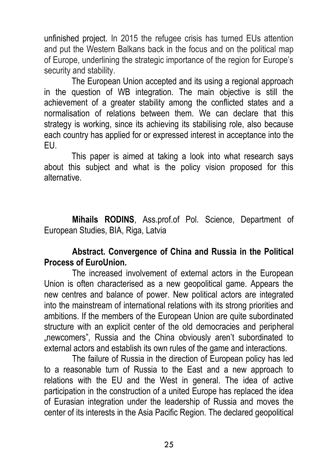unfinished project. In 2015 the refugee crisis has turned EUs attention and put the Western Balkans back in the focus and on the political map of Europe, underlining the strategic importance of the region for Europe's security and stability.

The European Union accepted and its using a regional approach in the question of WB integration. The main objective is still the achievement of a greater stability among the conflicted states and a normalisation of relations between them. We can declare that this strategy is working, since its achieving its stabilising role, also because each country has applied for or expressed interest in acceptance into the EU.

This paper is aimed at taking a look into what research says about this subject and what is the policy vision proposed for this alternative.

**Mihails RODINS**, Ass.prof.of Pol. Science, Department of European Studies, BIA, Riga, Latvia

#### **Abstract. Convergence of China and Russia in the Political Process of EuroUnion.**

The increased involvement of external actors in the European Union is often characterised as a new geopolitical game. Appears the new centres and balance of power. New political actors are integrated into the mainstream of international relations with its strong priorities and ambitions. If the members of the European Union are quite subordinated structure with an explicit center of the old democracies and peripheral "newcomers", Russia and the China obviously aren't subordinated to external actors and establish its own rules of the game and interactions.

The failure of Russia in the direction of European policy has led to a reasonable turn of Russia to the East and a new approach to relations with the EU and the West in general. The idea of active participation in the construction of a united Europe has replaced the idea of Eurasian integration under the leadership of Russia and moves the center of its interests in the Asia Pacific Region. The declared geopolitical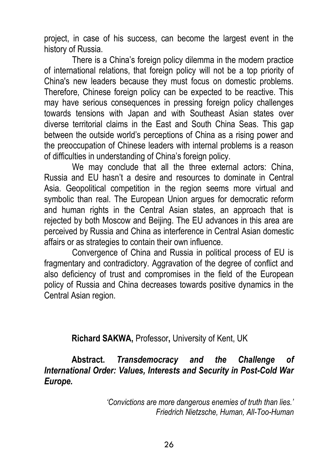project, in case of his success, can become the largest event in the history of Russia.

There is a China's foreign policy dilemma in the modern practice of international relations, that foreign policy will not be a top priority of China's new leaders because they must focus on domestic problems. Therefore, Chinese foreign policy can be expected to be reactive. This may have serious consequences in pressing foreign policy challenges towards tensions with Japan and with Southeast Asian states over diverse territorial claims in the East and South China Seas. This gap between the outside world's perceptions of China as a rising power and the preoccupation of Chinese leaders with internal problems is a reason of difficulties in understanding of China's foreign policy.

We may conclude that all the three external actors: China, Russia and EU hasn't a desire and resources to dominate in Central Asia. Geopolitical competition in the region seems more virtual and symbolic than real. The European Union argues for democratic reform and human rights in the Central Asian states, an approach that is rejected by both Moscow and Beijing. The EU advances in this area are perceived by Russia and China as interference in Central Asian domestic affairs or as strategies to contain their own influence.

Convergence of China and Russia in political process of EU is fragmentary and contradictory. Aggravation of the degree of conflict and also deficiency of trust and compromises in the field of the European policy of Russia and China decreases towards positive dynamics in the Central Asian region.

**Richard SAKWA,** Professor**,** University of Kent, UK

**Abstract.** *Transdemocracy and the Challenge of International Order: Values, Interests and Security in Post-Cold War Europe.*

> *'Convictions are more dangerous enemies of truth than lies.' Friedrich Nietzsche, Human, All-Too-Human*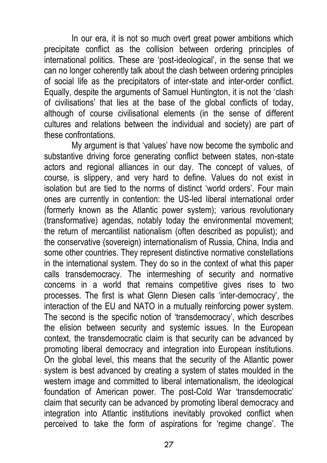In our era, it is not so much overt great power ambitions which precipitate conflict as the collision between ordering principles of international politics. These are 'post-ideological', in the sense that we can no longer coherently talk about the clash between ordering principles of social life as the precipitators of inter-state and inter-order conflict. Equally, despite the arguments of Samuel Huntington, it is not the 'clash of civilisations' that lies at the base of the global conflicts of today, although of course civilisational elements (in the sense of different cultures and relations between the individual and society) are part of these confrontations.

My argument is that 'values' have now become the symbolic and substantive driving force generating conflict between states, non-state actors and regional alliances in our day. The concept of values, of course, is slippery, and very hard to define. Values do not exist in isolation but are tied to the norms of distinct 'world orders'. Four main ones are currently in contention: the US-led liberal international order (formerly known as the Atlantic power system); various revolutionary (transformative) agendas, notably today the environmental movement; the return of mercantilist nationalism (often described as populist); and the conservative (sovereign) internationalism of Russia, China, India and some other countries. They represent distinctive normative constellations in the international system. They do so in the context of what this paper calls transdemocracy. The intermeshing of security and normative concerns in a world that remains competitive gives rises to two processes. The first is what Glenn Diesen calls 'inter-democracy', the interaction of the EU and NATO in a mutually reinforcing power system. The second is the specific notion of 'transdemocracy', which describes the elision between security and systemic issues. In the European context, the transdemocratic claim is that security can be advanced by promoting liberal democracy and integration into European institutions. On the global level, this means that the security of the Atlantic power system is best advanced by creating a system of states moulded in the western image and committed to liberal internationalism, the ideological foundation of American power. The post-Cold War 'transdemocratic' claim that security can be advanced by promoting liberal democracy and integration into Atlantic institutions inevitably provoked conflict when perceived to take the form of aspirations for 'regime change'. The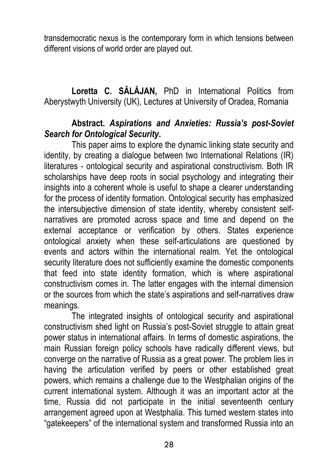transdemocratic nexus is the contemporary form in which tensions between different visions of world order are played out.

**Loretta C. SĂLĂJAN,** PhD in International Politics from Aberystwyth University (UK), Lectures at University of Oradea, Romania

#### **Abstract.** *Aspirations and Anxieties: Russia's post-Soviet Search for Ontological Security***.**

This paper aims to explore the dynamic linking state security and identity, by creating a dialogue between two International Relations (IR) literatures - ontological security and aspirational constructivism. Both IR scholarships have deep roots in social psychology and integrating their insights into a coherent whole is useful to shape a clearer understanding for the process of identity formation. Ontological security has emphasized the intersubjective dimension of state identity, whereby consistent selfnarratives are promoted across space and time and depend on the external acceptance or verification by others. States experience ontological anxiety when these self-articulations are questioned by events and actors within the international realm. Yet the ontological security literature does not sufficiently examine the domestic components that feed into state identity formation, which is where aspirational constructivism comes in. The latter engages with the internal dimension or the sources from which the state's aspirations and self-narratives draw meanings.

The integrated insights of ontological security and aspirational constructivism shed light on Russia's post-Soviet struggle to attain great power status in international affairs. In terms of domestic aspirations, the main Russian foreign policy schools have radically different views, but converge on the narrative of Russia as a great power. The problem lies in having the articulation verified by peers or other established great powers, which remains a challenge due to the Westphalian origins of the current international system. Although it was an important actor at the time, Russia did not participate in the initial seventeenth century arrangement agreed upon at Westphalia. This turned western states into "gatekeepers" of the international system and transformed Russia into an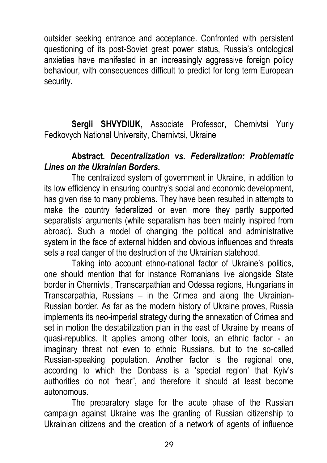outsider seeking entrance and acceptance. Confronted with persistent questioning of its post-Soviet great power status, Russia's ontological anxieties have manifested in an increasingly aggressive foreign policy behaviour, with consequences difficult to predict for long term European security.

**Sergii SHVYDIUK,** Associate Professor**,** Chernivtsi Yuriy Fedkovych National University, Chernivtsi, Ukraine

#### **Abstract.** *Decentralization vs. Federalization: Problematic Lines on the Ukrainian Borders.*

The centralized system of government in Ukraine, in addition to its low efficiency in ensuring country's social and economic development, has given rise to many problems. They have been resulted in attempts to make the country federalized or even more they partly supported separatists' arguments (while separatism has been mainly inspired from abroad). Such a model of changing the political and administrative system in the face of external hidden and obvious influences and threats sets a real danger of the destruction of the Ukrainian statehood.

Taking into account ethno-national factor of Ukraine's politics, one should mention that for instance Romanians live alongside State border in Chernivtsi, Transcarpathian and Odessa regions, Hungarians in Transcarpathia, Russians – in the Crimea and along the Ukrainian-Russian border. As far as the modern history of Ukraine proves, Russia implements its neo-imperial strategy during the annexation of Crimea and set in motion the destabilization plan in the east of Ukraine by means of quasi-republics. It applies among other tools, an ethnic factor - an imaginary threat not even to ethnic Russians, but to the so-called Russian-speaking population. Another factor is the regional one, according to which the Donbass is a 'special region' that Kyiv's authorities do not "hear", and therefore it should at least become autonomous.

The preparatory stage for the acute phase of the Russian campaign against Ukraine was the granting of Russian citizenship to Ukrainian citizens and the creation of a network of agents of influence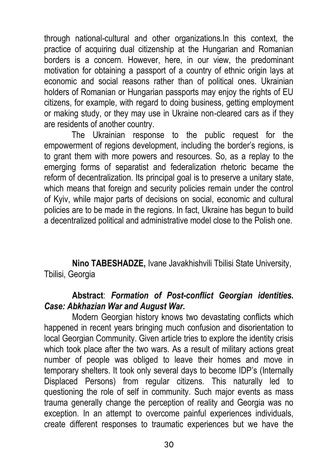through national-cultural and other organizations.In this context, the practice of acquiring dual citizenship at the Hungarian and Romanian borders is a concern. However, here, in our view, the predominant motivation for obtaining a passport of a country of ethnic origin lays at economic and social reasons rather than of political ones. Ukrainian holders of Romanian or Hungarian passports may enjoy the rights of EU citizens, for example, with regard to doing business, getting employment or making study, or they may use in Ukraine non-cleared cars as if they are residents of another country.

The Ukrainian response to the public request for the empowerment of regions development, including the border's regions, is to grant them with more powers and resources. So, as a replay to the emerging forms of separatist and federalization rhetoric became the reform of decentralization. Its principal goal is to preserve a unitary state, which means that foreign and security policies remain under the control of Kyiv, while major parts of decisions on social, economic and cultural policies are to be made in the regions. In fact, Ukraine has begun to build a decentralized political and administrative model close to the Polish one.

**Nino TABESHADZE,** Ivane Javakhishvili Tbilisi State University, Tbilisi, Georgia

#### **Abstract**: *Formation of Post-conflict Georgian identities. Case: Abkhazian War and August War.*

Modern Georgian history knows two devastating conflicts which happened in recent years bringing much confusion and disorientation to local Georgian Community. Given article tries to explore the identity crisis which took place after the two wars. As a result of military actions great number of people was obliged to leave their homes and move in temporary shelters. It took only several days to become IDP's (Internally Displaced Persons) from regular citizens. This naturally led to questioning the role of self in community. Such major events as mass trauma generally change the perception of reality and Georgia was no exception. In an attempt to overcome painful experiences individuals, create different responses to traumatic experiences but we have the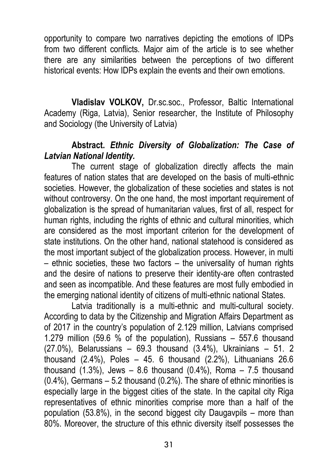opportunity to compare two narratives depicting the emotions of IDPs from two different conflicts. Major aim of the article is to see whether there are any similarities between the perceptions of two different historical events: How IDPs explain the events and their own emotions.

**Vladislav VOLKOV,** Dr.sc.soc., Professor, Baltic International Academy (Riga, Latvia), Senior researcher, the Institute of Philosophy and Sociology (the University of Latvia)

#### **Abstract.** *Ethnic Diversity of Globalization: The Case of Latvian National Identity.*

The current stage of globalization directly affects the main features of nation states that are developed on the basis of multi-ethnic societies. However, the globalization of these societies and states is not without controversy. On the one hand, the most important requirement of globalization is the spread of humanitarian values, first of all, respect for human rights, including the rights of ethnic and cultural minorities, which are considered as the most important criterion for the development of state institutions. On the other hand, national statehood is considered as the most important subject of the globalization process. However, in multi – ethnic societies, these two factors – the universality of human rights and the desire of nations to preserve their identity-are often contrasted and seen as incompatible. And these features are most fully embodied in the emerging national identity of citizens of multi-ethnic national States.

Latvia traditionally is a multi-ethnic and multi-cultural society. According to data by the Citizenship and Migration Affairs Department as of 2017 in the country's population of 2.129 million, Latvians comprised 1.279 million (59.6 % of the population), Russians – 557.6 thousand (27.0%), Belarussians – 69.3 thousand (3.4%), Ukrainians – 51. 2 thousand  $(2.4\%)$ , Poles  $-45.6$  thousand  $(2.2\%)$ , Lithuanians  $26.6$ thousand  $(1.3\%)$ , Jews  $-8.6$  thousand  $(0.4\%)$ , Roma  $-7.5$  thousand (0.4%), Germans – 5.2 thousand (0.2%). The share of ethnic minorities is especially large in the biggest cities of the state. In the capital city Riga representatives of ethnic minorities comprise more than a half of the population (53.8%), in the second biggest city Daugavpils – more than 80%. Moreover, the structure of this ethnic diversity itself possesses the